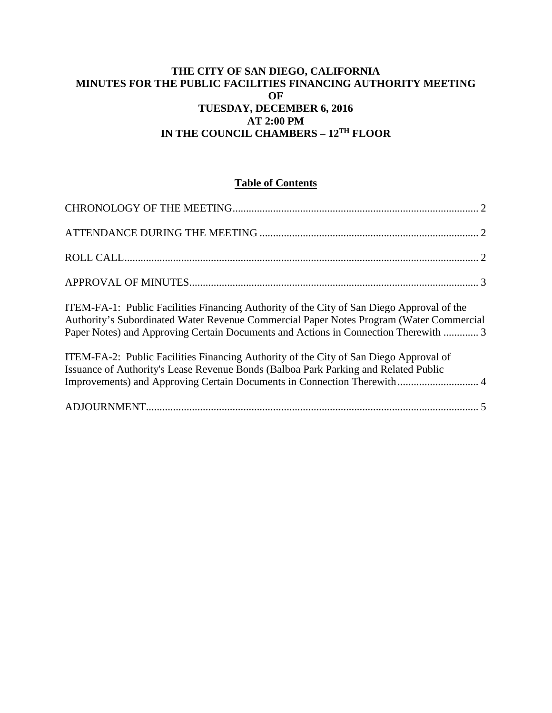## **THE CITY OF SAN DIEGO, CALIFORNIA MINUTES FOR THE PUBLIC FACILITIES FINANCING AUTHORITY MEETING OF TUESDAY, DECEMBER 6, 2016 AT 2:00 PM IN THE COUNCIL CHAMBERS – 12TH FLOOR**

## **Table of Contents**

| ITEM-FA-1: Public Facilities Financing Authority of the City of San Diego Approval of the<br>Authority's Subordinated Water Revenue Commercial Paper Notes Program (Water Commercial<br>Paper Notes) and Approving Certain Documents and Actions in Connection Therewith  3 |  |
|-----------------------------------------------------------------------------------------------------------------------------------------------------------------------------------------------------------------------------------------------------------------------------|--|
| ITEM-FA-2: Public Facilities Financing Authority of the City of San Diego Approval of<br>Issuance of Authority's Lease Revenue Bonds (Balboa Park Parking and Related Public<br>Improvements) and Approving Certain Documents in Connection Therewith 4                     |  |
|                                                                                                                                                                                                                                                                             |  |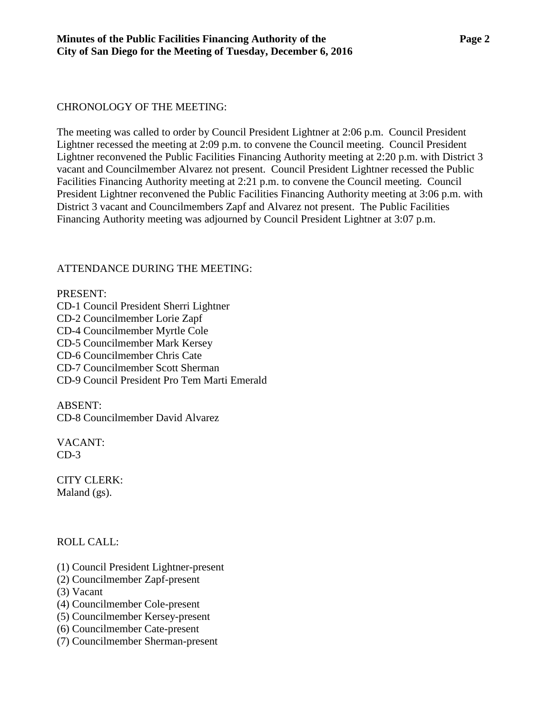#### <span id="page-1-0"></span>CHRONOLOGY OF THE MEETING:

The meeting was called to order by Council President Lightner at 2:06 p.m. Council President Lightner recessed the meeting at 2:09 p.m. to convene the Council meeting. Council President Lightner reconvened the Public Facilities Financing Authority meeting at 2:20 p.m. with District 3 vacant and Councilmember Alvarez not present. Council President Lightner recessed the Public Facilities Financing Authority meeting at 2:21 p.m. to convene the Council meeting. Council President Lightner reconvened the Public Facilities Financing Authority meeting at 3:06 p.m. with District 3 vacant and Councilmembers Zapf and Alvarez not present. The Public Facilities Financing Authority meeting was adjourned by Council President Lightner at 3:07 p.m.

#### <span id="page-1-1"></span>ATTENDANCE DURING THE MEETING:

#### PRESENT:

CD-1 Council President Sherri Lightner CD-2 Councilmember Lorie Zapf CD-4 Councilmember Myrtle Cole CD-5 Councilmember Mark Kersey CD-6 Councilmember Chris Cate CD-7 Councilmember Scott Sherman CD-9 Council President Pro Tem Marti Emerald

#### ABSENT:

CD-8 Councilmember David Alvarez

VACANT:  $CD-3$ 

CITY CLERK: Maland (gs).

#### <span id="page-1-2"></span>ROLL CALL:

- (1) Council President Lightner-present
- (2) Councilmember Zapf-present
- (3) Vacant
- (4) Councilmember Cole-present
- (5) Councilmember Kersey-present
- (6) Councilmember Cate-present
- (7) Councilmember Sherman-present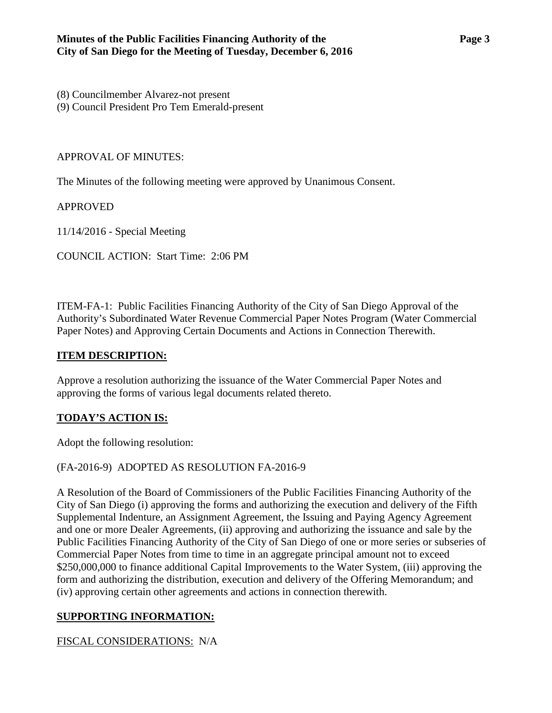(8) Councilmember Alvarez-not present

(9) Council President Pro Tem Emerald-present

### <span id="page-2-0"></span>APPROVAL OF MINUTES:

The Minutes of the following meeting were approved by Unanimous Consent.

APPROVED

11/14/2016 - [Special Meeting](http://www.sandiego.gov/sites/default/files/11-14-16-special.pdf)

COUNCIL ACTION: Start Time: 2:06 PM

<span id="page-2-1"></span>ITEM-FA-1: Public Facilities Financing Authority of the City of San Diego Approval of the Authority's Subordinated Water Revenue Commercial Paper Notes Program (Water Commercial Paper Notes) and Approving Certain Documents and Actions in Connection Therewith.

### **ITEM DESCRIPTION:**

Approve a resolution authorizing the issuance of the Water Commercial Paper Notes and approving the forms of various legal documents related thereto.

## **TODAY'S ACTION IS:**

Adopt the following resolution:

#### (FA-2016-9) ADOPTED AS RESOLUTION FA-2016-9

A Resolution of the Board of Commissioners of the Public Facilities Financing Authority of the City of San Diego (i) approving the forms and authorizing the execution and delivery of the Fifth Supplemental Indenture, an Assignment Agreement, the Issuing and Paying Agency Agreement and one or more Dealer Agreements, (ii) approving and authorizing the issuance and sale by the Public Facilities Financing Authority of the City of San Diego of one or more series or subseries of Commercial Paper Notes from time to time in an aggregate principal amount not to exceed \$250,000,000 to finance additional Capital Improvements to the Water System, (iii) approving the form and authorizing the distribution, execution and delivery of the Offering Memorandum; and (iv) approving certain other agreements and actions in connection therewith.

## **SUPPORTING INFORMATION:**

## FISCAL CONSIDERATIONS: N/A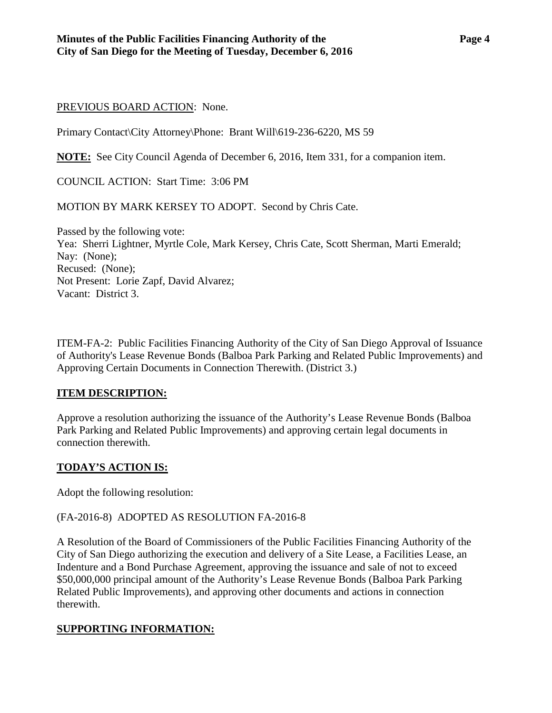## PREVIOUS BOARD ACTION: None.

Primary Contact\City Attorney\Phone: Brant Will\619-236-6220, MS 59

**NOTE:** See City Council Agenda of December 6, 2016, Item 331, for a companion item.

COUNCIL ACTION: Start Time: 3:06 PM

MOTION BY MARK KERSEY TO ADOPT. Second by Chris Cate.

Passed by the following vote: Yea: Sherri Lightner, Myrtle Cole, Mark Kersey, Chris Cate, Scott Sherman, Marti Emerald; Nay: (None); Recused: (None); Not Present: Lorie Zapf, David Alvarez; Vacant: District 3.

<span id="page-3-0"></span>ITEM-FA-2: Public Facilities Financing Authority of the City of San Diego Approval of Issuance of Authority's Lease Revenue Bonds (Balboa Park Parking and Related Public Improvements) and Approving Certain Documents in Connection Therewith. (District 3.)

## **ITEM DESCRIPTION:**

Approve a resolution authorizing the issuance of the Authority's Lease Revenue Bonds (Balboa Park Parking and Related Public Improvements) and approving certain legal documents in connection therewith.

# **TODAY'S ACTION IS:**

Adopt the following resolution:

## (FA-2016-8) ADOPTED AS RESOLUTION FA-2016-8

A Resolution of the Board of Commissioners of the Public Facilities Financing Authority of the City of San Diego authorizing the execution and delivery of a Site Lease, a Facilities Lease, an Indenture and a Bond Purchase Agreement, approving the issuance and sale of not to exceed \$50,000,000 principal amount of the Authority's Lease Revenue Bonds (Balboa Park Parking Related Public Improvements), and approving other documents and actions in connection therewith.

# **SUPPORTING INFORMATION:**